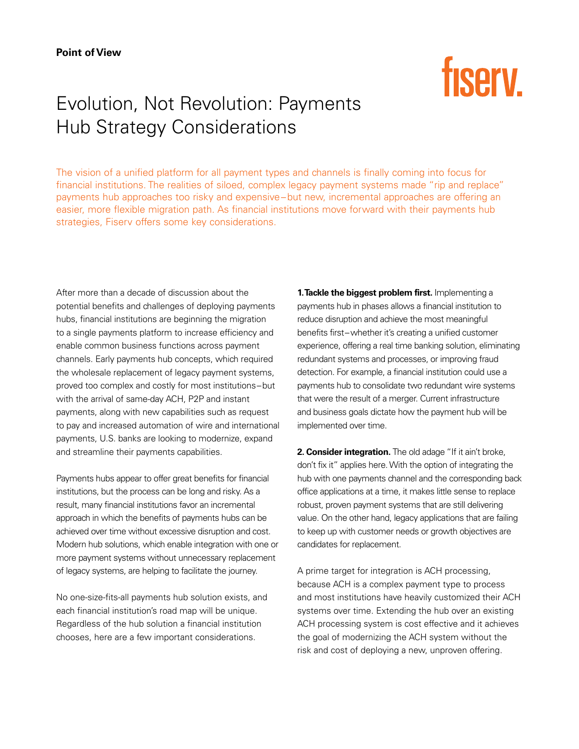## fisery.

## Evolution, Not Revolution: Payments Hub Strategy Considerations

The vision of a unified platform for all payment types and channels is finally coming into focus for financial institutions. The realities of siloed, complex legacy payment systems made "rip and replace" payments hub approaches too risky and expensive–but new, incremental approaches are offering an easier, more flexible migration path. As financial institutions move forward with their payments hub strategies, Fiserv offers some key considerations.

After more than a decade of discussion about the potential benefits and challenges of deploying payments hubs, financial institutions are beginning the migration to a single payments platform to increase efficiency and enable common business functions across payment channels. Early payments hub concepts, which required the wholesale replacement of legacy payment systems, proved too complex and costly for most institutions–but with the arrival of same-day ACH, P2P and instant payments, along with new capabilities such as request to pay and increased automation of wire and international payments, U.S. banks are looking to modernize, expand and streamline their payments capabilities.

Payments hubs appear to offer great benefits for financial institutions, but the process can be long and risky. As a result, many financial institutions favor an incremental approach in which the benefits of payments hubs can be achieved over time without excessive disruption and cost. Modern hub solutions, which enable integration with one or more payment systems without unnecessary replacement of legacy systems, are helping to facilitate the journey.

No one-size-fits-all payments hub solution exists, and each financial institution's road map will be unique. Regardless of the hub solution a financial institution chooses, here are a few important considerations.

**1. Tackle the biggest problem first.** Implementing a payments hub in phases allows a financial institution to reduce disruption and achieve the most meaningful benefits first–whether it's creating a unified customer experience, offering a real time banking solution, eliminating redundant systems and processes, or improving fraud detection. For example, a financial institution could use a payments hub to consolidate two redundant wire systems that were the result of a merger. Current infrastructure and business goals dictate how the payment hub will be implemented over time.

**2. Consider integration.** The old adage "If it ain't broke, don't fix it" applies here. With the option of integrating the hub with one payments channel and the corresponding back office applications at a time, it makes little sense to replace robust, proven payment systems that are still delivering value. On the other hand, legacy applications that are failing to keep up with customer needs or growth objectives are candidates for replacement.

A prime target for integration is ACH processing, because ACH is a complex payment type to process and most institutions have heavily customized their ACH systems over time. Extending the hub over an existing ACH processing system is cost effective and it achieves the goal of modernizing the ACH system without the risk and cost of deploying a new, unproven offering.